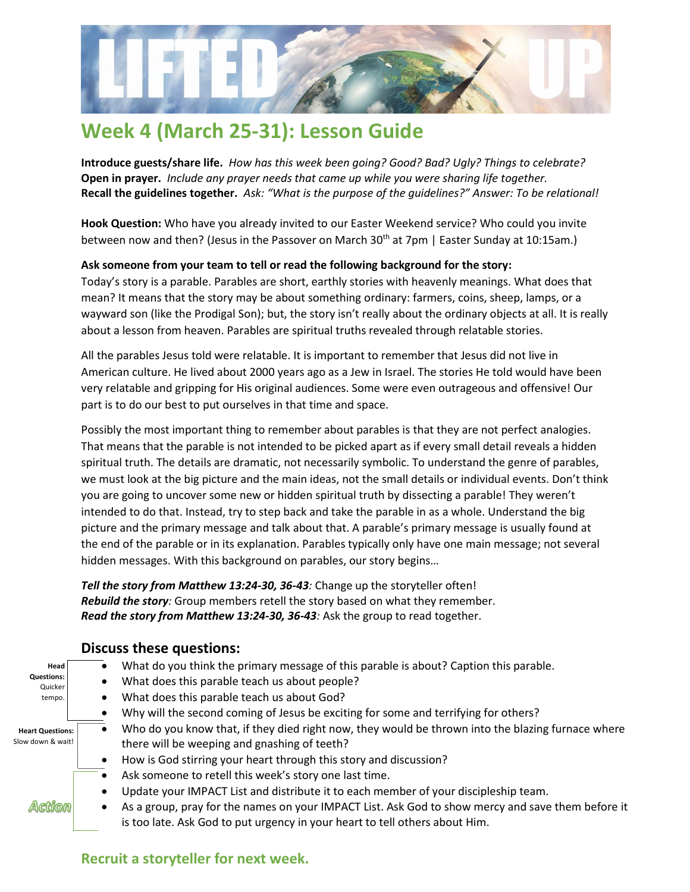

# **Week 4 (March 25-31): Lesson Guide**

**Introduce guests/share life.** *How has this week been going? Good? Bad? Ugly? Things to celebrate?* **Open in prayer.** *Include any prayer needs that came up while you were sharing life together.* **Recall the guidelines together.** *Ask: "What is the purpose of the guidelines?" Answer: To be relational!*

**Hook Question:** Who have you already invited to our Easter Weekend service? Who could you invite between now and then? (Jesus in the Passover on March 30<sup>th</sup> at 7pm | Easter Sunday at 10:15am.)

#### **Ask someone from your team to tell or read the following background for the story:**

Today's story is a parable. Parables are short, earthly stories with heavenly meanings. What does that mean? It means that the story may be about something ordinary: farmers, coins, sheep, lamps, or a wayward son (like the Prodigal Son); but, the story isn't really about the ordinary objects at all. It is really about a lesson from heaven. Parables are spiritual truths revealed through relatable stories.

All the parables Jesus told were relatable. It is important to remember that Jesus did not live in American culture. He lived about 2000 years ago as a Jew in Israel. The stories He told would have been very relatable and gripping for His original audiences. Some were even outrageous and offensive! Our part is to do our best to put ourselves in that time and space.

Possibly the most important thing to remember about parables is that they are not perfect analogies. That means that the parable is not intended to be picked apart as if every small detail reveals a hidden spiritual truth. The details are dramatic, not necessarily symbolic. To understand the genre of parables, we must look at the big picture and the main ideas, not the small details or individual events. Don't think you are going to uncover some new or hidden spiritual truth by dissecting a parable! They weren't intended to do that. Instead, try to step back and take the parable in as a whole. Understand the big picture and the primary message and talk about that. A parable's primary message is usually found at the end of the parable or in its explanation. Parables typically only have one main message; not several hidden messages. With this background on parables, our story begins…

*Tell the story from Matthew 13:24-30, 36-43:* Change up the storyteller often! *Rebuild the story:* Group members retell the story based on what they remember. *Read the story from Matthew 13:24-30, 36-43:* Ask the group to read together.

#### • What do you think the primary message of this parable is about? Caption this parable. **Head Questions:** • What does this parable teach us about people? Quicker • What does this parable teach us about God? tempo. • Why will the second coming of Jesus be exciting for some and terrifying for others? Who do you know that, if they died right now, they would be thrown into the blazing furnace where **Heart Questions:**  Slow down & wait! there will be weeping and gnashing of teeth? • How is God stirring your heart through this story and discussion? Ask someone to retell this week's story one last time. Update your IMPACT List and distribute it to each member of your discipleship team. Action • As a group, pray for the names on your IMPACT List. Ask God to show mercy and save them before it is too late. Ask God to put urgency in your heart to tell others about Him.

#### **Discuss these questions:**

### **Recruit a storyteller for next week.**